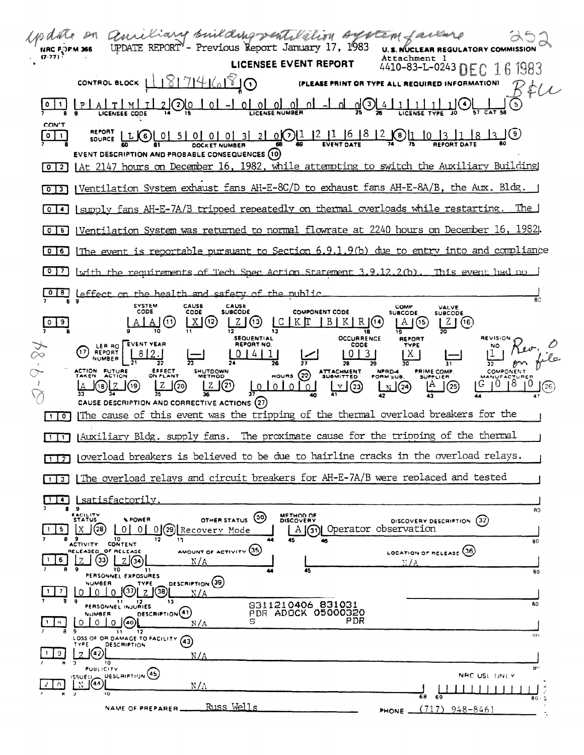|                                 |                                     | aniliano building ventilelion by NEM faster                                              |                               |                                                      |                                      |                                                       |                                             |                                       | <b>U.S. NUCLEAR REGULATORY COMMISSION</b>       |                            |          |
|---------------------------------|-------------------------------------|------------------------------------------------------------------------------------------|-------------------------------|------------------------------------------------------|--------------------------------------|-------------------------------------------------------|---------------------------------------------|---------------------------------------|-------------------------------------------------|----------------------------|----------|
| (7.77)                          |                                     |                                                                                          |                               |                                                      |                                      | <b>LICENSEE EVENT REPORT</b>                          |                                             | Attachment 1                          | 4410-83-L-0243 DEC 16 1983                      |                            |          |
|                                 |                                     | CONTROL BLOCK                                                                            |                               | <u> 181714161810</u>                                 |                                      |                                                       |                                             |                                       | (PLEASE PRINT OR TYPE ALL REQUIRED INFORMATION) |                            |          |
|                                 |                                     |                                                                                          |                               | <u> 2] ②[၀   ၀  –  ၀  ၀  ၀  ၀  ၀  ၀  –  ဂ  ၇  ဩမ</u> |                                      |                                                       |                                             |                                       |                                                 | (5                         |          |
| <b>CON'T</b><br>$0$   1         |                                     | <b>EVENT DESCRIPTION AND PROBABLE CONSEQUENCES (10)</b>                                  |                               |                                                      |                                      |                                                       |                                             |                                       |                                                 |                            |          |
| 0121                            |                                     | At 2147 hours on December 16, 1982, while attempting to switch the Auxiliary Building    |                               |                                                      |                                      |                                                       |                                             |                                       |                                                 |                            |          |
| $3^-$<br>$\circ$                |                                     | Ventilation System exhaust fans_AH-E-8C/D to exhaust fans AH-E-8A/B, the Aux. Bldg. __   |                               |                                                      |                                      |                                                       |                                             |                                       |                                                 |                            |          |
| 14 I<br>$\bullet$               |                                     | Isupply fans AH-E-7A/B tripped repeatedly on thermal overloads while restarting.         |                               |                                                      |                                      |                                                       |                                             |                                       |                                                 |                            | The I    |
| $\circ$<br><b>51</b>            |                                     | (Ventilation System was returned to normal flowrate at 2240 hours on December 16, 1982). |                               |                                                      |                                      |                                                       |                                             |                                       |                                                 |                            |          |
| $\bullet$<br>·6 ∣               |                                     | The event is reportable pursuant to Section 6.9.1.9(b) due to entry into and compliance  |                               |                                                      |                                      |                                                       |                                             |                                       |                                                 |                            |          |
| -7.1                            |                                     | with the requirements of Tech Spec Action Statement 3.9.12.2(b). This event had no       |                               |                                                      |                                      |                                                       |                                             |                                       |                                                 |                            |          |
|                                 |                                     | Leffect on the health and safety of the public                                           |                               |                                                      |                                      |                                                       |                                             |                                       |                                                 |                            | BO       |
| $\circ$<br>9                    |                                     | <b>SYSTEM</b><br>CODE<br>(11)                                                            | CAUSE<br>CODE<br>  X (12)     | <b>CAUSE</b><br><b>SUBCODE</b>                       | Z(G) [C] K T                         | <b>COMPONENT CODE</b>                                 | B K R                                       | <b>COMP.</b><br><b>SUBCODE</b><br>(15 | VALVE<br><b>SUBCODE</b><br>$Z \mid (16)$        |                            |          |
|                                 | (17.                                | LER.RO EVENT YEAR<br><b>REPORT</b><br>8 2                                                |                               | <b>SEQUENTIAL</b><br>REPORT NO.                      | 411                                  |                                                       | <b>OCCURRENCE</b><br>CODE<br>3 <sup>1</sup> | <b>REPORT</b><br>TYPE<br>X.           |                                                 | REVISION                   |          |
|                                 | ACTION FUTURE<br>(18)               | EFFECT<br>CAUSE DESCRIPTION AND CORRECTIVE ACTIONS (27)                                  | $\sqrt{20}$                   | SHUTDOWN<br> Z (21)                                  | $H$ ours $(22)$<br>$\sqrt{\log  Q }$ | ATTACHMENT                                            | لتيا (23                                    | NPRD-4<br>FORM SUB.<br>$\Box$ $(24)$  | PRIME COMP.<br>SUPPLIER<br>$\left( 25\right)$   | <b>COMPONENT</b><br>101810 |          |
| $\overline{10}$<br>$\mathbf{1}$ |                                     | The cause of this event was the tripping of the thermal overload breakers for the        |                               |                                                      |                                      |                                                       |                                             |                                       |                                                 |                            |          |
| -11                             |                                     | Auxiliary Bldg. supply fans. The proximate cause for the tripping of the thermal         |                               |                                                      |                                      |                                                       |                                             |                                       |                                                 |                            |          |
| 112                             |                                     | overload breakers is believed to be due to hairline cracks in the overload relays.       |                               |                                                      |                                      |                                                       |                                             |                                       |                                                 |                            |          |
| з.                              |                                     | The overload relays and circuit breakers for AH-E-7A/B were replaced and tested          |                               |                                                      |                                      |                                                       |                                             |                                       |                                                 |                            |          |
| 4<br>8                          | - 9                                 | <u>  satisfactorily</u>                                                                  |                               |                                                      |                                      |                                                       |                                             |                                       |                                                 |                            | 80       |
| 5.                              | EACILITY<br>STATUS<br>(28)<br>- 9   | <b>% POWER</b><br>0 I<br>0 I<br>01<br>10<br>12                                           | (29)<br>17                    | OTHER STATUS<br>Recovery Mode                        | (30)<br>45                           | METHOD OF<br>DISCOVERY<br>A (31) Operator observation |                                             |                                       | DISCOVERY DESCRIPTION                           | (32)                       | 80       |
| 6                               | <b>ACTIVITY</b><br>33               | <b>CONTENT</b><br>RELEASED OF RELEASE<br>10<br>11                                        | N/A                           | AMOUNT OF ACTIVITY (35)                              |                                      | 45                                                    |                                             | $\rm M/A$                             | LOCATION OF RELEASE (36)                        |                            | 80       |
| 7                               | <b>NUMBER</b><br>٠                  | PERSONNEL EXPOSURES<br>TYPE<br>(37)[<br>(38)<br>11                                       | DESCRIPTION (39)<br>N/A<br>13 |                                                      |                                      | 8311210406 831031                                     |                                             |                                       |                                                 |                            | 80       |
| н.                              | <b>NUMBER</b><br>$\circ$<br>$\circ$ | PERSONNEL INJURIES<br>DESCRIPTION <sup>(41)</sup><br>(40)<br>0.                          | N/A                           | s                                                    |                                      | PDR ADOCK 05000320                                    | PDR                                         |                                       |                                                 |                            |          |
| 9                               | TYPE<br>7 (42)                      | LOSS OF OR DAMAGE TO FACILITY (43)<br><b>DESCRIPTION</b><br>10                           | N/A                           |                                                      |                                      |                                                       |                                             |                                       |                                                 |                            | 1:1:     |
| $\Omega$                        | <b>PUBLICITY</b><br>155UED.<br>(a 1 | UESCRIPTION (45)                                                                         | $N/\Lambda$                   |                                                      |                                      |                                                       |                                             |                                       |                                                 | NHC USL ONLY               | មេ +     |
|                                 |                                     | NAME OF PREPARER.                                                                        |                               | Russ Wells                                           |                                      |                                                       |                                             | 68<br><b>PHONE</b>                    | 69<br>$(717)$ 948-8461                          |                            | $80 - 5$ |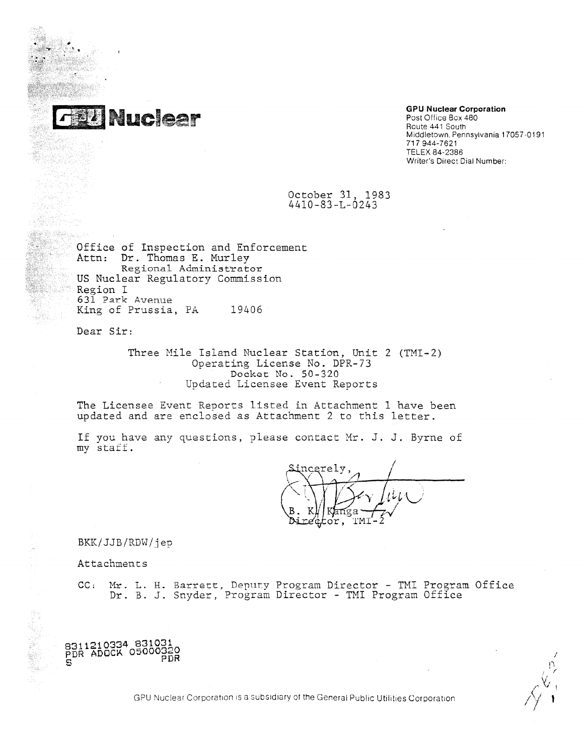

## **GPU Nuclear Corporation**

Post Office Box 480 Route 441 South Middletown, Pennsylvania 17057-0191 717 944-7621 TELEX 84-2386 Writer's Direct Dial Number:

October 31, 1983 4410-83-L-0243

Office of Inspection and Enforcement Attn: Dr. Thomas E. Murley Regional. Administrator US Nuclear Regulatory Commission Region I 631 Park Avenue King of Prussia, PA 19406

Dear Sir:

Three Mile Island Nuclear Station, Unit 2 (TMI-2) Operating License No. DPR-73 Docket No. 50-320 Updated Licensee Event Reports

The Licensee Event Reports listed in Attachment 1 have been updated and are enclosed as Attachment 2 to this letter.

If you have any questions, please contact Mr. J. J. Byrne of my staff.

ncerely. tor.

BKK/JJB/RDW/jep

Attachments

8311210334 831031 **PEA ADOCK 05000320**

**PDR**

CC: **Mr.** L. H. Barrett, Deputy Program Director - TMI Program Office Dr. B. J. Snyder, Program Director - TMI Program Office

CPU Nuclear Corporation is a subs diary of the General Public Utilities Corporation